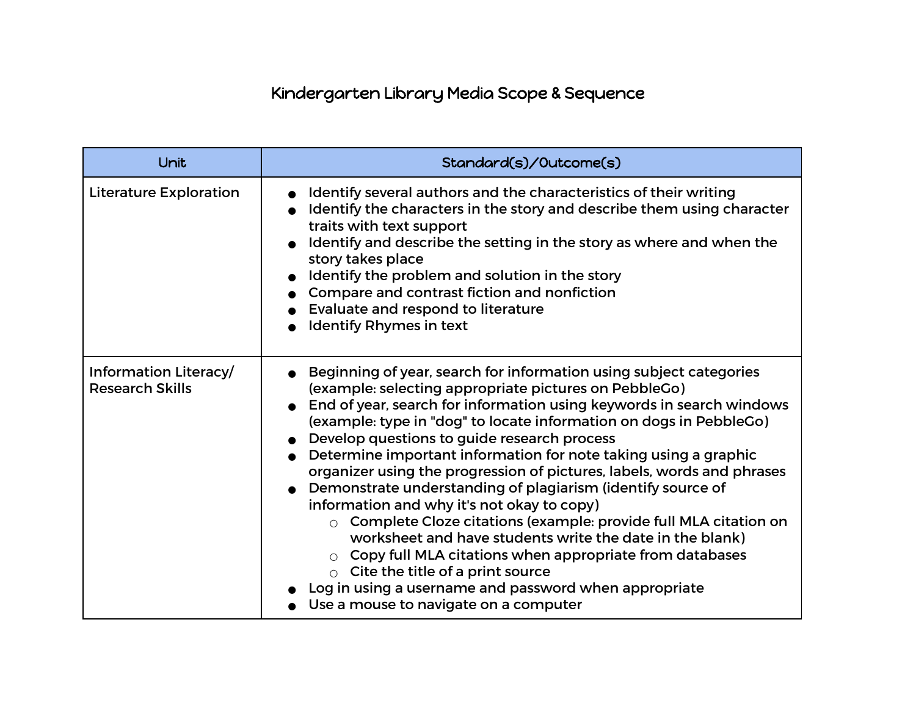## Kindergarten Library Media Scope & Sequence

| Unit                                            | Standard(s)/Outcome(s)                                                                                                                                                                                                                                                                                                                                                                                                                                                                                                                                                                                                                                                                                                                                                                                                                                                                                                                       |
|-------------------------------------------------|----------------------------------------------------------------------------------------------------------------------------------------------------------------------------------------------------------------------------------------------------------------------------------------------------------------------------------------------------------------------------------------------------------------------------------------------------------------------------------------------------------------------------------------------------------------------------------------------------------------------------------------------------------------------------------------------------------------------------------------------------------------------------------------------------------------------------------------------------------------------------------------------------------------------------------------------|
| <b>Literature Exploration</b>                   | Identify several authors and the characteristics of their writing<br>Identify the characters in the story and describe them using character<br>traits with text support<br>Identify and describe the setting in the story as where and when the<br>story takes place<br>Identify the problem and solution in the story<br>Compare and contrast fiction and nonfiction<br>Evaluate and respond to literature<br><b>Identify Rhymes in text</b>                                                                                                                                                                                                                                                                                                                                                                                                                                                                                                |
| Information Literacy/<br><b>Research Skills</b> | Beginning of year, search for information using subject categories<br>(example: selecting appropriate pictures on PebbleGo)<br>End of year, search for information using keywords in search windows<br>(example: type in "dog" to locate information on dogs in PebbleGo)<br>Develop questions to guide research process<br>Determine important information for note taking using a graphic<br>organizer using the progression of pictures, labels, words and phrases<br>Demonstrate understanding of plagiarism (identify source of<br>information and why it's not okay to copy)<br>Complete Cloze citations (example: provide full MLA citation on<br>$\bigcap$<br>worksheet and have students write the date in the blank)<br>Copy full MLA citations when appropriate from databases<br>Cite the title of a print source<br>$\bigcap$<br>Log in using a username and password when appropriate<br>Use a mouse to navigate on a computer |